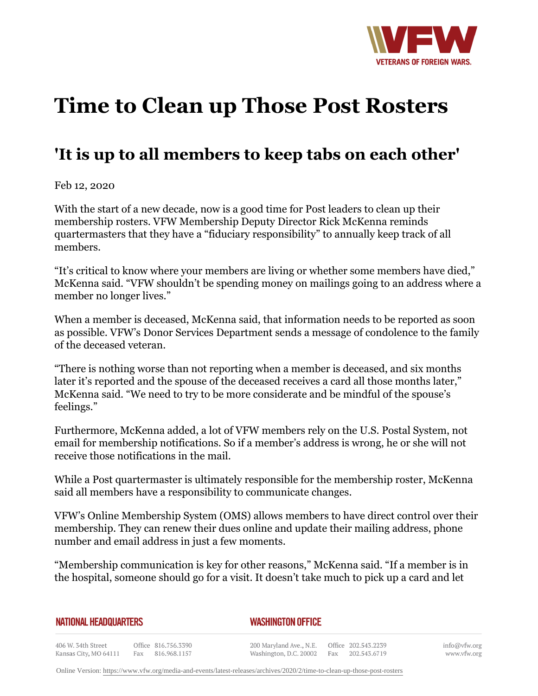

## **Time to Clean up Those Post Rosters**

## **'It is up to all members to keep tabs on each other'**

Feb 12, 2020

With the start of a new decade, now is a good time for Post leaders to clean up their membership rosters. VFW Membership Deputy Director Rick McKenna reminds quartermasters that they have a "fiduciary responsibility" to annually keep track of all members.

"It's critical to know where your members are living or whether some members have died," McKenna said. "VFW shouldn't be spending money on mailings going to an address where a member no longer lives."

When a member is deceased, McKenna said, that information needs to be reported as soon as possible. VFW's Donor Services Department sends a message of condolence to the family of the deceased veteran.

"There is nothing worse than not reporting when a member is deceased, and six months later it's reported and the spouse of the deceased receives a card all those months later," McKenna said. "We need to try to be more considerate and be mindful of the spouse's feelings."

Furthermore, McKenna added, a lot of VFW members rely on the U.S. Postal System, not email for membership notifications. So if a member's address is wrong, he or she will not receive those notifications in the mail.

While a Post quartermaster is ultimately responsible for the membership roster, McKenna said all members have a responsibility to communicate changes.

VFW's Online Membership System (OMS) allows members to have direct control over their membership. They can renew their dues online and update their mailing address, phone number and email address in just a few moments.

"Membership communication is key for other reasons," McKenna said. "If a member is in the hospital, someone should go for a visit. It doesn't take much to pick up a card and let

|  | NATIONAL HEADQUARTERS |
|--|-----------------------|
|  |                       |

*WASHINGTON OFFICE* 

406 W. 34th Street Office 816.756.3390 Fax 816.968.1157 Kansas City, MO 64111

200 Maryland Ave., N.E. Washington, D.C. 20002

Office 202.543.2239 Fax 202.543.6719 info@vfw.org www.vfw.org

Online Version:<https://www.vfw.org/media-and-events/latest-releases/archives/2020/2/time-to-clean-up-those-post-rosters>